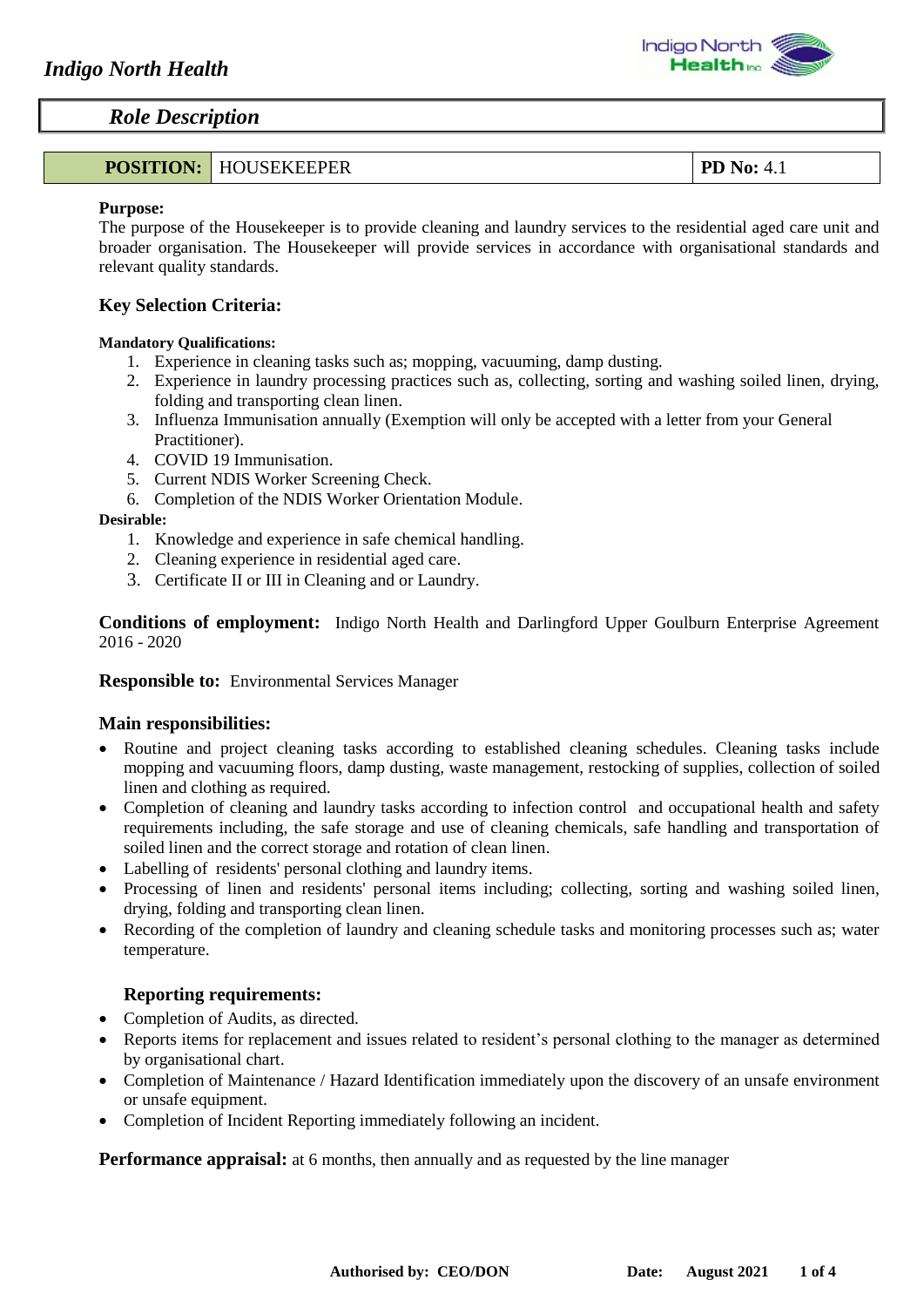| <b>POSITION: HOUSEKEEPER</b> | PD No:<br>$\cdot$ 4.1 |
|------------------------------|-----------------------|
|------------------------------|-----------------------|

#### **Purpose:**

The purpose of the Housekeeper is to provide cleaning and laundry services to the residential aged care unit and broader organisation. The Housekeeper will provide services in accordance with organisational standards and relevant quality standards.

# **Key Selection Criteria:**

#### **Mandatory Qualifications:**

- 1. Experience in cleaning tasks such as; mopping, vacuuming, damp dusting.
- 2. Experience in laundry processing practices such as, collecting, sorting and washing soiled linen, drying, folding and transporting clean linen.
- 3. Influenza Immunisation annually (Exemption will only be accepted with a letter from your General Practitioner).
- 4. COVID 19 Immunisation.
- 5. Current NDIS Worker Screening Check.
- 6. Completion of the NDIS Worker Orientation Module.

#### **Desirable:**

- 1. Knowledge and experience in safe chemical handling.
- 2. Cleaning experience in residential aged care.
- 3. Certificate II or III in Cleaning and or Laundry.

**Conditions of employment:** Indigo North Health and Darlingford Upper Goulburn Enterprise Agreement 2016 - 2020

#### **Responsible to:** Environmental Services Manager

## **Main responsibilities:**

- Routine and project cleaning tasks according to established cleaning schedules. Cleaning tasks include mopping and vacuuming floors, damp dusting, waste management, restocking of supplies, collection of soiled linen and clothing as required.
- Completion of cleaning and laundry tasks according to infection control and occupational health and safety requirements including, the safe storage and use of cleaning chemicals, safe handling and transportation of soiled linen and the correct storage and rotation of clean linen.
- Labelling of residents' personal clothing and laundry items.
- Processing of linen and residents' personal items including; collecting, sorting and washing soiled linen, drying, folding and transporting clean linen.
- Recording of the completion of laundry and cleaning schedule tasks and monitoring processes such as; water temperature.

## **Reporting requirements:**

- Completion of Audits, as directed.
- Reports items for replacement and issues related to resident's personal clothing to the manager as determined by organisational chart.
- Completion of Maintenance / Hazard Identification immediately upon the discovery of an unsafe environment or unsafe equipment.
- Completion of Incident Reporting immediately following an incident.

**Performance appraisal:** at 6 months, then annually and as requested by the line manager

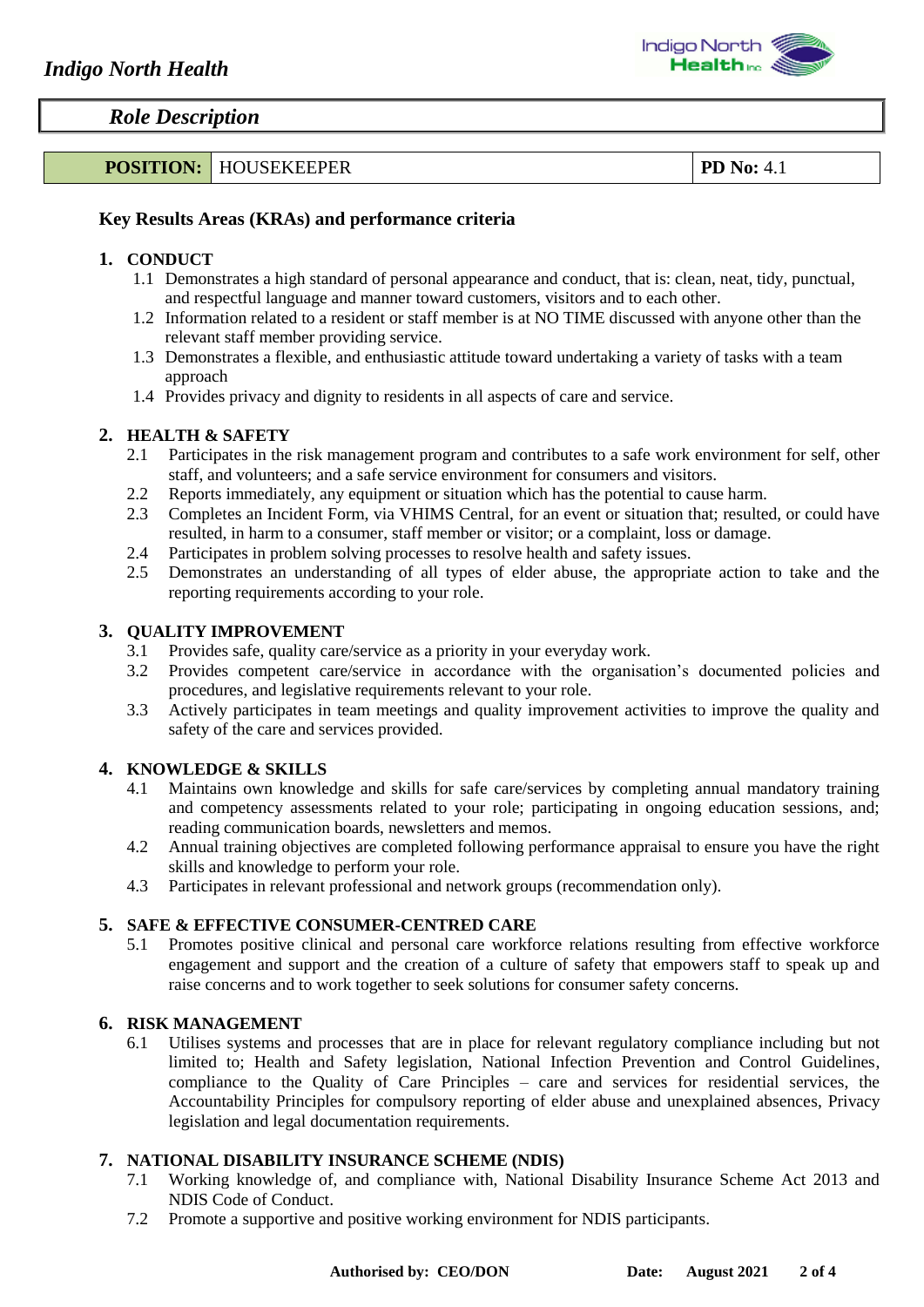

# **POSITION:** HOUSEKEEPER **POSITION: PD No:** 4.1

## **Key Results Areas (KRAs) and performance criteria**

#### **1. CONDUCT**

- 1.1 Demonstrates a high standard of personal appearance and conduct, that is: clean, neat, tidy, punctual, and respectful language and manner toward customers, visitors and to each other.
- 1.2 Information related to a resident or staff member is at NO TIME discussed with anyone other than the relevant staff member providing service.
- 1.3 Demonstrates a flexible, and enthusiastic attitude toward undertaking a variety of tasks with a team approach
- 1.4 Provides privacy and dignity to residents in all aspects of care and service.

#### **2. HEALTH & SAFETY**

- 2.1 Participates in the risk management program and contributes to a safe work environment for self, other staff, and volunteers; and a safe service environment for consumers and visitors.
- 2.2 Reports immediately, any equipment or situation which has the potential to cause harm.
- 2.3 Completes an Incident Form, via VHIMS Central, for an event or situation that; resulted, or could have resulted, in harm to a consumer, staff member or visitor; or a complaint, loss or damage.
- 2.4 Participates in problem solving processes to resolve health and safety issues.
- 2.5 Demonstrates an understanding of all types of elder abuse, the appropriate action to take and the reporting requirements according to your role.

#### **3. QUALITY IMPROVEMENT**

- 3.1 Provides safe, quality care/service as a priority in your everyday work.<br>3.2 Provides competent care/service in accordance with the organisat
- Provides competent care/service in accordance with the organisation's documented policies and procedures, and legislative requirements relevant to your role.
- 3.3 Actively participates in team meetings and quality improvement activities to improve the quality and safety of the care and services provided.

#### **4. KNOWLEDGE & SKILLS**

- 4.1 Maintains own knowledge and skills for safe care/services by completing annual mandatory training and competency assessments related to your role; participating in ongoing education sessions, and; reading communication boards, newsletters and memos.
- 4.2 Annual training objectives are completed following performance appraisal to ensure you have the right skills and knowledge to perform your role.
- 4.3 Participates in relevant professional and network groups (recommendation only).

## **5. SAFE & EFFECTIVE CONSUMER-CENTRED CARE**

5.1 Promotes positive clinical and personal care workforce relations resulting from effective workforce engagement and support and the creation of a culture of safety that empowers staff to speak up and raise concerns and to work together to seek solutions for consumer safety concerns.

#### **6. RISK MANAGEMENT**

6.1 Utilises systems and processes that are in place for relevant regulatory compliance including but not limited to; Health and Safety legislation, National Infection Prevention and Control Guidelines, compliance to the Quality of Care Principles – care and services for residential services, the Accountability Principles for compulsory reporting of elder abuse and unexplained absences, Privacy legislation and legal documentation requirements.

#### **7. NATIONAL DISABILITY INSURANCE SCHEME (NDIS)**

- 7.1 Working knowledge of, and compliance with, National Disability Insurance Scheme Act 2013 and NDIS Code of Conduct.
- 7.2 Promote a supportive and positive working environment for NDIS participants.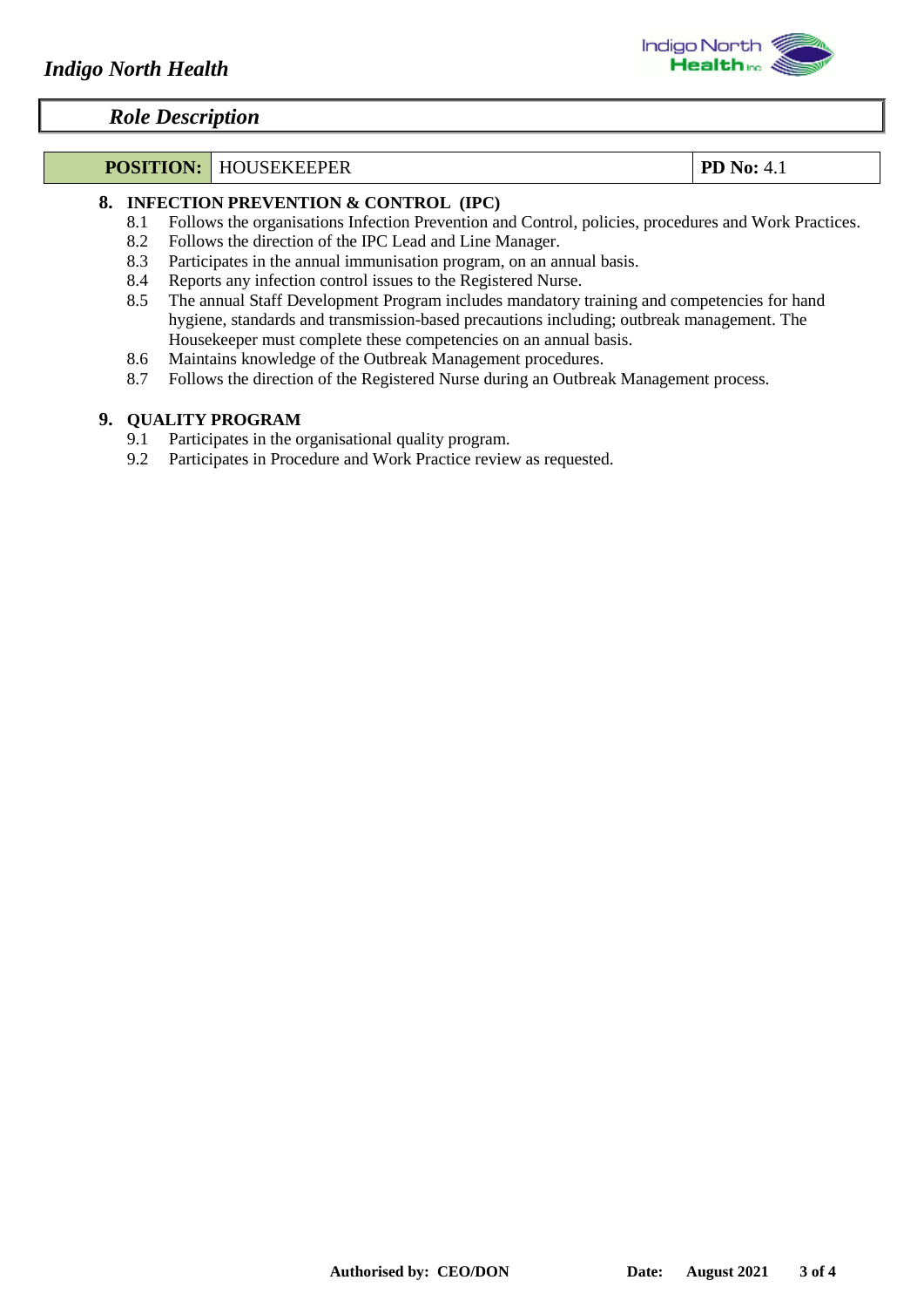# **POSITION:** HOUSEKEEPER **PD No:** 4.1

## **8. INFECTION PREVENTION & CONTROL (IPC)**

- 8.1 Follows the organisations Infection Prevention and Control, policies, procedures and Work Practices.
- 8.2 Follows the direction of the IPC Lead and Line Manager.
- 8.3 Participates in the annual immunisation program, on an annual basis.
- 8.4 Reports any infection control issues to the Registered Nurse.
- 8.5 The annual Staff Development Program includes mandatory training and competencies for hand hygiene, standards and transmission-based precautions including; outbreak management. The Housekeeper must complete these competencies on an annual basis.
- 8.6 Maintains knowledge of the Outbreak Management procedures.
- 8.7 Follows the direction of the Registered Nurse during an Outbreak Management process.

## **9. QUALITY PROGRAM**

- 9.1 Participates in the organisational quality program.
- 9.2 Participates in Procedure and Work Practice review as requested.